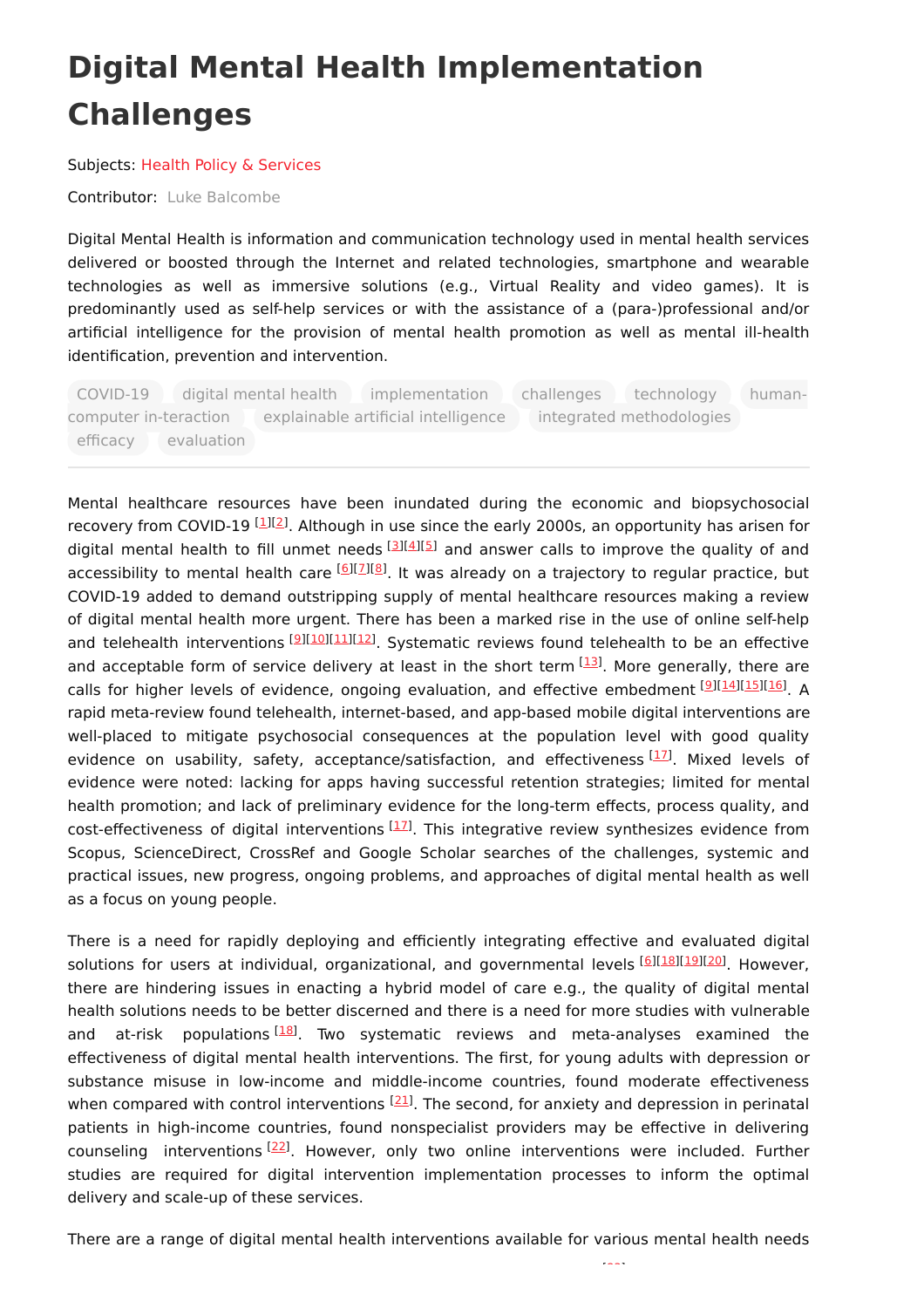## **Digital Mental Health Implementation Challenges**

Subjects: Health Policy & [Services](https://encyclopedia.pub/entry/subject/319)

Contributor: Luke [Balcombe](https://sciprofiles.com/profile/1717998)

Digital Mental Health is information and communication technology used in mental health services delivered or boosted through the Internet and related technologies, smartphone and wearable technologies as well as immersive solutions (e.g., Virtual Reality and video games). It is predominantly used as self-help services or with the assistance of a (para-)professional and/or artificial intelligence for the provision of mental health promotion as well as mental ill-health identification, prevention and intervention.

COVID-19 digital mental health implementation challenges technology humancomputer in-teraction explainable artificial intelligence integrated methodologies efficacy evaluation

Mental healthcare resources have been inundated during the economic and biopsychosocial recovery from COVID-19 [\[1](#page-1-0)][[2](#page-1-1)]. Although in use since the early 2000s, an opportunity has arisen for digital mental health to fill unmet needs [\[3](#page-1-2)][\[4](#page-1-3)][[5](#page-1-4)] and answer calls to improve the quality of and accessibility to mental health care [[6](#page-1-5)][\[7](#page-1-6)][[8](#page-1-7)]. It was already on a trajectory to regular practice, but COVID-19 added to demand outstripping supply of mental healthcare resources making a review of digital mental health more urgent. There has been a marked rise in the use of online self-help and telehealth interventions [\[9](#page-1-8)][[10](#page-1-9)][\[11](#page-1-10)][[12](#page-2-0)]. Systematic reviews found telehealth to be an effective and acceptable form of service delivery at least in the short term  $[13]$  $[13]$ . More generally, there are calls for higher levels of evidence, ongoing evaluation, and effective embedment [[9](#page-1-8)][\[14](#page-2-2)][\[15](#page-2-3)][\[16](#page-2-4)]. A rapid meta-review found telehealth, internet-based, and app-based mobile digital interventions are well-placed to mitigate psychosocial consequences at the population level with good quality evidence on usability, safety, acceptance/satisfaction, and effectiveness <a>[[17](#page-2-5)]</a>. Mixed levels of evidence were noted: lacking for apps having successful retention strategies; limited for mental health promotion; and lack of preliminary evidence for the long-term effects, process quality, and cost-effectiveness of digital interventions  $[11]$ . This integrative review synthesizes evidence from Scopus, ScienceDirect, CrossRef and Google Scholar searches of the challenges, systemic and practical issues, new progress, ongoing problems, and approaches of digital mental health as well as a focus on young people.

There is a need for rapidly deploying and efficiently integrating effective and evaluated digital solutions for users at individual, organizational, and governmental levels [[6](#page-1-5)][\[18](#page-2-6)][\[19](#page-2-7)][\[20](#page-2-8)]. However, there are hindering issues in enacting a hybrid model of care e.g., the quality of digital mental health solutions needs to be better discerned and there is a need for more studies with vulnerable and at-risk populations<sup>[\[18](#page-2-6)]</sup>. Two systematic reviews and meta-analyses examined the effectiveness of digital mental health interventions. The first, for young adults with depression or substance misuse in low-income and middle-income countries, found moderate effectiveness when compared with control interventions <sup>[[21](#page-2-9)]</sup>. The second, for anxiety and depression in perinatal patients in high-income countries, found nonspecialist providers may be effective in delivering counseling interventions [[22\]](#page-2-10). However, only two online interventions were included. Further studies are required for digital intervention implementation processes to inform the optimal delivery and scale-up of these services.

There are a range of digital mental health interventions available for various mental health needs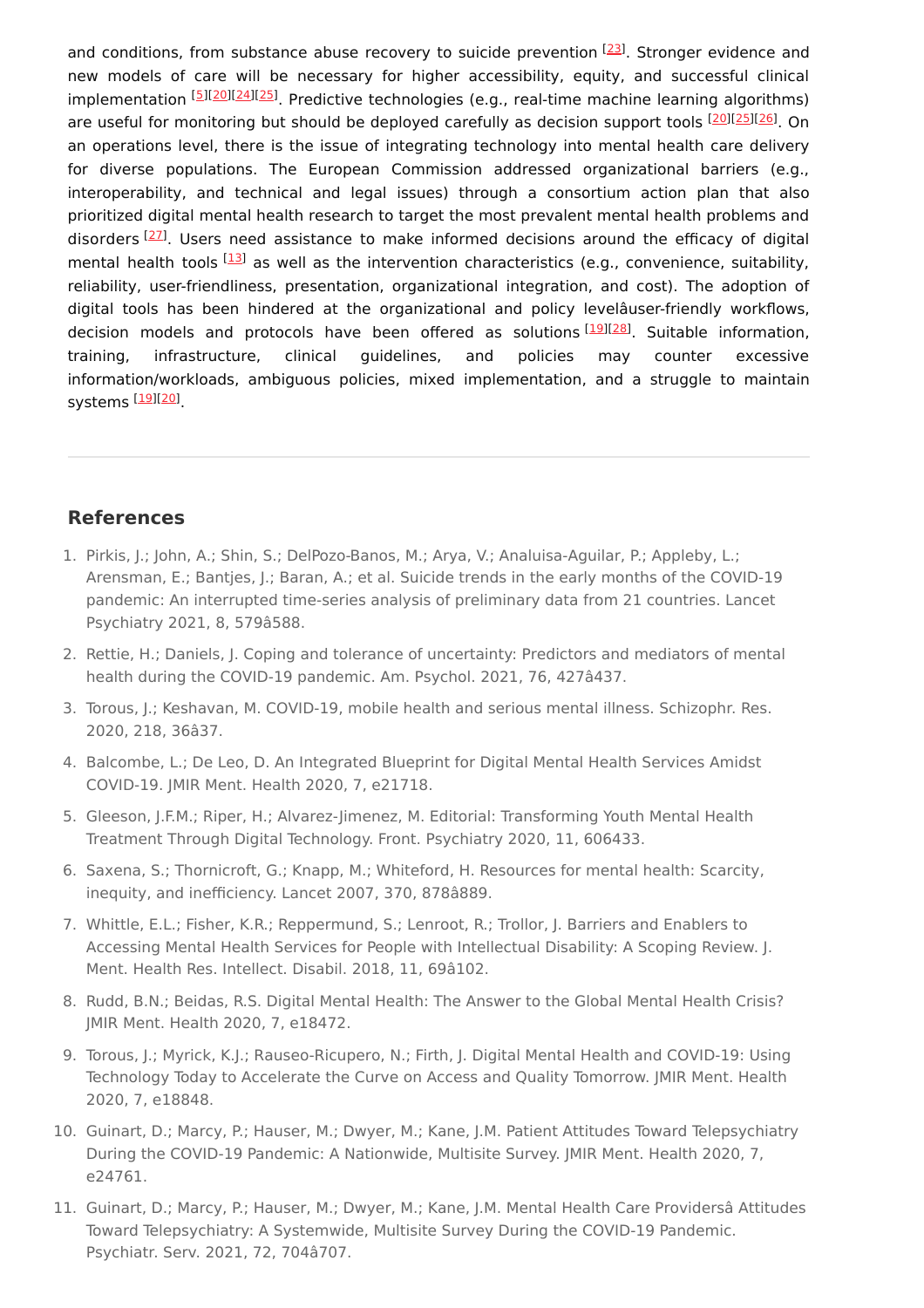and conditions, from substance abuse recovery to suicide prevention [[23](#page-2-11)]. Stronger evidence and new models of care will be necessary for higher accessibility, equity, and successful clinical implementation [\[5](#page-1-4)][\[20](#page-2-8)][[24](#page-2-12)][\[25](#page-2-13)]. Predictive technologies (e.g., real-time machine learning algorithms) are useful for monitoring but should be deployed carefully as decision support tools [\[20](#page-2-8)][\[25](#page-2-13)][\[26](#page-2-14)]. On an operations level, there is the issue of integrating technology into mental health care delivery for diverse populations. The European Commission addressed organizational barriers (e.g., interoperability, and technical and legal issues) through a consortium action plan that also prioritized digital mental health research to target the most prevalent mental health problems and disorders <a>[\[27](#page-2-15)]</a>. Users need assistance to make informed decisions around the efficacy of digital mental health tools [\[13](#page-2-1)] as well as the intervention characteristics (e.g., convenience, suitability, reliability, user-friendliness, presentation, organizational integration, and cost). The adoption of digital tools has been hindered at the organizational and policy levelâuser-friendly workflows, decision models and protocols have been offered as solutions <a>[[19](#page-2-7)]</a>[\[28\]](#page-2-16)</a>. Suitable information, training, infrastructure, clinical guidelines, and policies may counter excessive information/workloads, ambiguous policies, mixed implementation, and a struggle to maintain systems <sup>[<u>19][[20](#page-2-8)</u>]</sup>

## **References**

- <span id="page-1-0"></span>1. Pirkis, J.; John, A.; Shin, S.; DelPozo-Banos, M.; Arya, V.; Analuisa-Aguilar, P.; Appleby, L.; Arensman, E.; Bantjes, J.; Baran, A.; et al. Suicide trends in the early months of the COVID-19 pandemic: An interrupted time-series analysis of preliminary data from 21 countries. Lancet Psychiatry 2021, 8, 579â588.
- <span id="page-1-1"></span>2. Rettie, H.; Daniels, J. Coping and tolerance of uncertainty: Predictors and mediators of mental health during the COVID-19 pandemic. Am. Psychol. 2021, 76, 427â437.
- <span id="page-1-2"></span>3. Torous, J.; Keshavan, M. COVID-19, mobile health and serious mental illness. Schizophr. Res. 2020, 218, 36â37.
- <span id="page-1-3"></span>4. Balcombe, L.; De Leo, D. An Integrated Blueprint for Digital Mental Health Services Amidst COVID-19. JMIR Ment. Health 2020, 7, e21718.
- <span id="page-1-4"></span>5. Gleeson, J.F.M.; Riper, H.; Alvarez-Jimenez, M. Editorial: Transforming Youth Mental Health Treatment Through Digital Technology. Front. Psychiatry 2020, 11, 606433.
- <span id="page-1-5"></span>6. Saxena, S.; Thornicroft, G.; Knapp, M.; Whiteford, H. Resources for mental health: Scarcity, inequity, and inefficiency. Lancet 2007, 370, 878â889.
- <span id="page-1-6"></span>7. Whittle, E.L.; Fisher, K.R.; Reppermund, S.; Lenroot, R.; Trollor, J. Barriers and Enablers to Accessing Mental Health Services for People with Intellectual Disability: A Scoping Review. J. Ment. Health Res. Intellect. Disabil. 2018, 11, 69â102.
- <span id="page-1-7"></span>8. Rudd, B.N.; Beidas, R.S. Digital Mental Health: The Answer to the Global Mental Health Crisis? JMIR Ment. Health 2020, 7, e18472.
- <span id="page-1-8"></span>9. Torous, J.; Myrick, K.J.; Rauseo-Ricupero, N.; Firth, J. Digital Mental Health and COVID-19: Using Technology Today to Accelerate the Curve on Access and Quality Tomorrow. JMIR Ment. Health 2020, 7, e18848.
- <span id="page-1-9"></span>10. Guinart, D.; Marcy, P.; Hauser, M.; Dwyer, M.; Kane, J.M. Patient Attitudes Toward Telepsychiatry During the COVID-19 Pandemic: A Nationwide, Multisite Survey. JMIR Ment. Health 2020, 7, e24761.
- <span id="page-1-10"></span>11. Guinart, D.; Marcy, P.; Hauser, M.; Dwyer, M.; Kane, J.M. Mental Health Care Providersâ Attitudes Toward Telepsychiatry: A Systemwide, Multisite Survey During the COVID-19 Pandemic. Psychiatr. Serv. 2021, 72, 704â707.